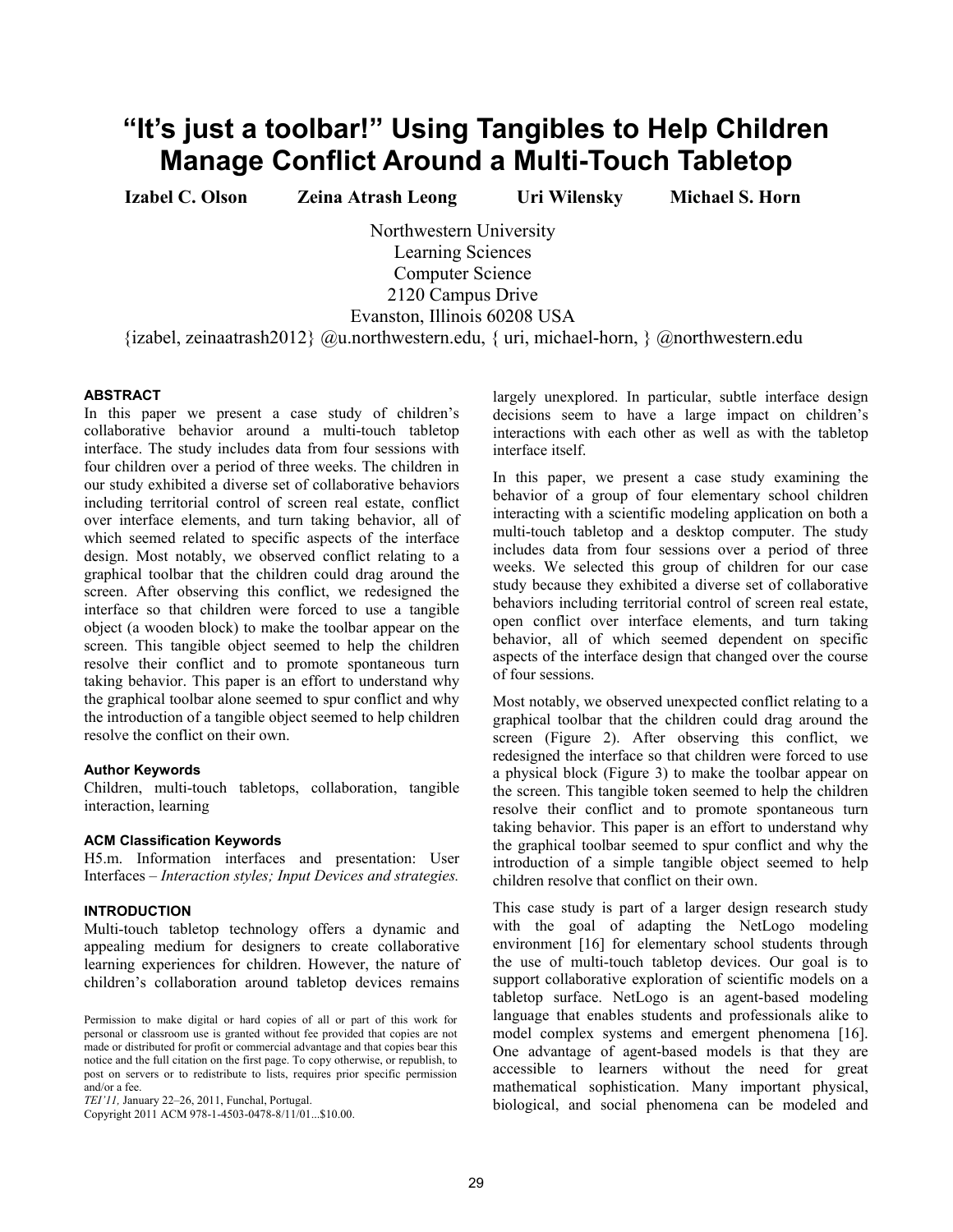# "It's just a toolbar!" Using Tangibles to Help Children **Manage Conflict Around a Multi-Touch Tabletop**

**Izabel C. Olson Zeina Atrash Leong Uri Wilensky Michael S. Horn** 

Northwestern University Learning Sciences Computer Science 2120 Campus Drive Evanston, Illinois 60208 USA

{izabel, zeinaatrash2012} @u.northwestern.edu, { uri, michael-horn, } @northwestern.edu

# **ABSTRACT**

In this paper we present a case study of children's collaborative behavior around a multi-touch tabletop interface. The study includes data from four sessions with four children over a period of three weeks. The children in our study exhibited a diverse set of collaborative behaviors including territorial control of screen real estate, conflict over interface elements, and turn taking behavior, all of which seemed related to specific aspects of the interface design. Most notably, we observed conflict relating to a graphical toolbar that the children could drag around the screen. After observing this conflict, we redesigned the interface so that children were forced to use a tangible object (a wooden block) to make the toolbar appear on the screen. This tangible object seemed to help the children resolve their conflict and to promote spontaneous turn taking behavior. This paper is an effort to understand why the graphical toolbar alone seemed to spur conflict and why the introduction of a tangible object seemed to help children resolve the conflict on their own.

#### **Author Keywords**

Children, multi-touch tabletops, collaboration, tangible interaction, learning

#### **ACM Classification Keywords**

H5.m. Information interfaces and presentation: User Interfaces – *Interaction styles; Input Devices and strategies.* 

## **INTRODUCTION**

Multi-touch tabletop technology offers a dynamic and appealing medium for designers to create collaborative learning experiences for children. However, the nature of children's collaboration around tabletop devices remains

Copyright 2011 ACM 978-1-4503-0478-8/11/01...\$10.00.

largely unexplored. In particular, subtle interface design decisions seem to have a large impact on children's interactions with each other as well as with the tabletop interface itself.

In this paper, we present a case study examining the behavior of a group of four elementary school children interacting with a scientific modeling application on both a multi-touch tabletop and a desktop computer. The study includes data from four sessions over a period of three weeks. We selected this group of children for our case study because they exhibited a diverse set of collaborative behaviors including territorial control of screen real estate, open conflict over interface elements, and turn taking behavior, all of which seemed dependent on specific aspects of the interface design that changed over the course of four sessions.

Most notably, we observed unexpected conflict relating to a graphical toolbar that the children could drag around the screen (Figure 2). After observing this conflict, we redesigned the interface so that children were forced to use a physical block (Figure 3) to make the toolbar appear on the screen. This tangible token seemed to help the children resolve their conflict and to promote spontaneous turn taking behavior. This paper is an effort to understand why the graphical toolbar seemed to spur conflict and why the introduction of a simple tangible object seemed to help children resolve that conflict on their own.

This case study is part of a larger design research study with the goal of adapting the NetLogo modeling environment [16] for elementary school students through the use of multi-touch tabletop devices. Our goal is to support collaborative exploration of scientific models on a tabletop surface. NetLogo is an agent-based modeling language that enables students and professionals alike to model complex systems and emergent phenomena [16]. One advantage of agent-based models is that they are accessible to learners without the need for great mathematical sophistication. Many important physical, biological, and social phenomena can be modeled and

Permission to make digital or hard copies of all or part of this work for personal or classroom use is granted without fee provided that copies are not made or distributed for profit or commercial advantage and that copies bear this notice and the full citation on the first page. To copy otherwise, or republish, to post on servers or to redistribute to lists, requires prior specific permission and/or a fee.

*TEI'11*, January 22-26, 2011, Funchal, Portugal.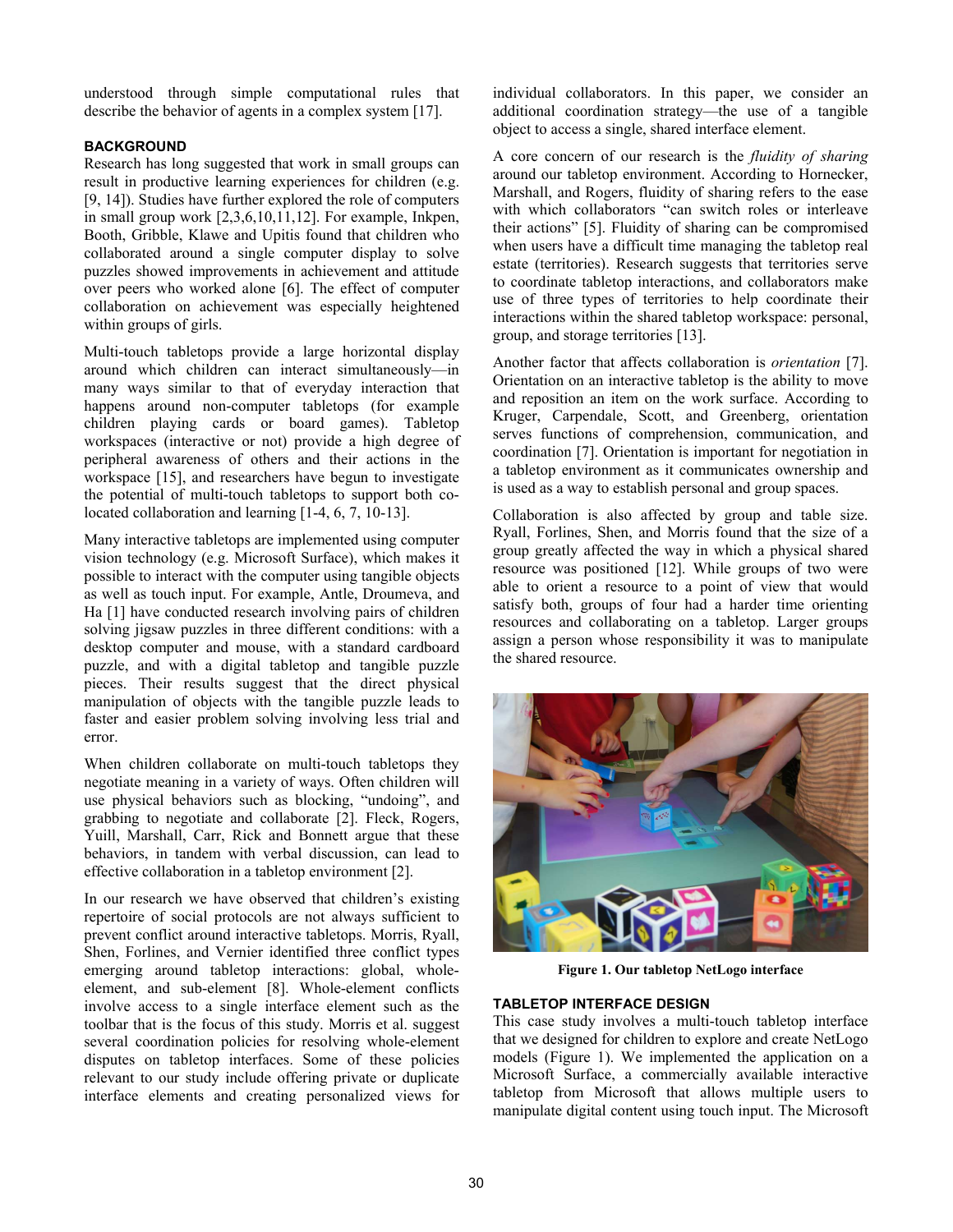understood through simple computational rules that describe the behavior of agents in a complex system [17].

# **BACKGROUND**

Research has long suggested that work in small groups can result in productive learning experiences for children (e.g. [9, 14]). Studies have further explored the role of computers in small group work [2,3,6,10,11,12]. For example, Inkpen, Booth, Gribble, Klawe and Upitis found that children who collaborated around a single computer display to solve puzzles showed improvements in achievement and attitude over peers who worked alone [6]. The effect of computer collaboration on achievement was especially heightened within groups of girls.

Multi-touch tabletops provide a large horizontal display around which children can interact simultaneously-in many ways similar to that of everyday interaction that happens around non-computer tabletops (for example children playing cards or board games). Tabletop workspaces (interactive or not) provide a high degree of peripheral awareness of others and their actions in the workspace [15], and researchers have begun to investigate the potential of multi-touch tabletops to support both colocated collaboration and learning [1-4, 6, 7, 10-13].

Many interactive tabletops are implemented using computer vision technology (e.g. Microsoft Surface), which makes it possible to interact with the computer using tangible objects as well as touch input. For example, Antle, Droumeva, and Ha [1] have conducted research involving pairs of children solving jigsaw puzzles in three different conditions: with a desktop computer and mouse, with a standard cardboard puzzle, and with a digital tabletop and tangible puzzle pieces. Their results suggest that the direct physical manipulation of objects with the tangible puzzle leads to faster and easier problem solving involving less trial and error.

When children collaborate on multi-touch tabletops they negotiate meaning in a variety of ways. Often children will use physical behaviors such as blocking, "undoing", and grabbing to negotiate and collaborate [2]. Fleck, Rogers, Yuill, Marshall, Carr, Rick and Bonnett argue that these behaviors, in tandem with verbal discussion, can lead to effective collaboration in a tabletop environment [2].

In our research we have observed that children's existing repertoire of social protocols are not always sufficient to prevent conflict around interactive tabletops. Morris, Ryall, Shen, Forlines, and Vernier identified three conflict types emerging around tabletop interactions: global, wholeelement, and sub-element [8]. Whole-element conflicts involve access to a single interface element such as the toolbar that is the focus of this study. Morris et al. suggest several coordination policies for resolving whole-element disputes on tabletop interfaces. Some of these policies relevant to our study include offering private or duplicate interface elements and creating personalized views for

individual collaborators. In this paper, we consider an additional coordination strategy—the use of a tangible object to access a single, shared interface element.

A core concern of our research is the *fluidity of sharing* around our tabletop environment. According to Hornecker, Marshall, and Rogers, fluidity of sharing refers to the ease with which collaborators "can switch roles or interleave their actions" [5]. Fluidity of sharing can be compromised when users have a difficult time managing the tabletop real estate (territories). Research suggests that territories serve to coordinate tabletop interactions, and collaborators make use of three types of territories to help coordinate their interactions within the shared tabletop workspace: personal, group, and storage territories [13].

Another factor that affects collaboration is *orientation* [7]. Orientation on an interactive tabletop is the ability to move and reposition an item on the work surface. According to Kruger, Carpendale, Scott, and Greenberg, orientation serves functions of comprehension, communication, and coordination [7]. Orientation is important for negotiation in a tabletop environment as it communicates ownership and is used as a way to establish personal and group spaces.

Collaboration is also affected by group and table size. Ryall, Forlines, Shen, and Morris found that the size of a group greatly affected the way in which a physical shared resource was positioned [12]. While groups of two were able to orient a resource to a point of view that would satisfy both, groups of four had a harder time orienting resources and collaborating on a tabletop. Larger groups assign a person whose responsibility it was to manipulate the shared resource.



**Figure 1. Our tabletop NetLogo interface** 

# **TABLETOP INTERFACE DESIGN**

This case study involves a multi-touch tabletop interface that we designed for children to explore and create NetLogo models (Figure 1). We implemented the application on a Microsoft Surface, a commercially available interactive tabletop from Microsoft that allows multiple users to manipulate digital content using touch input. The Microsoft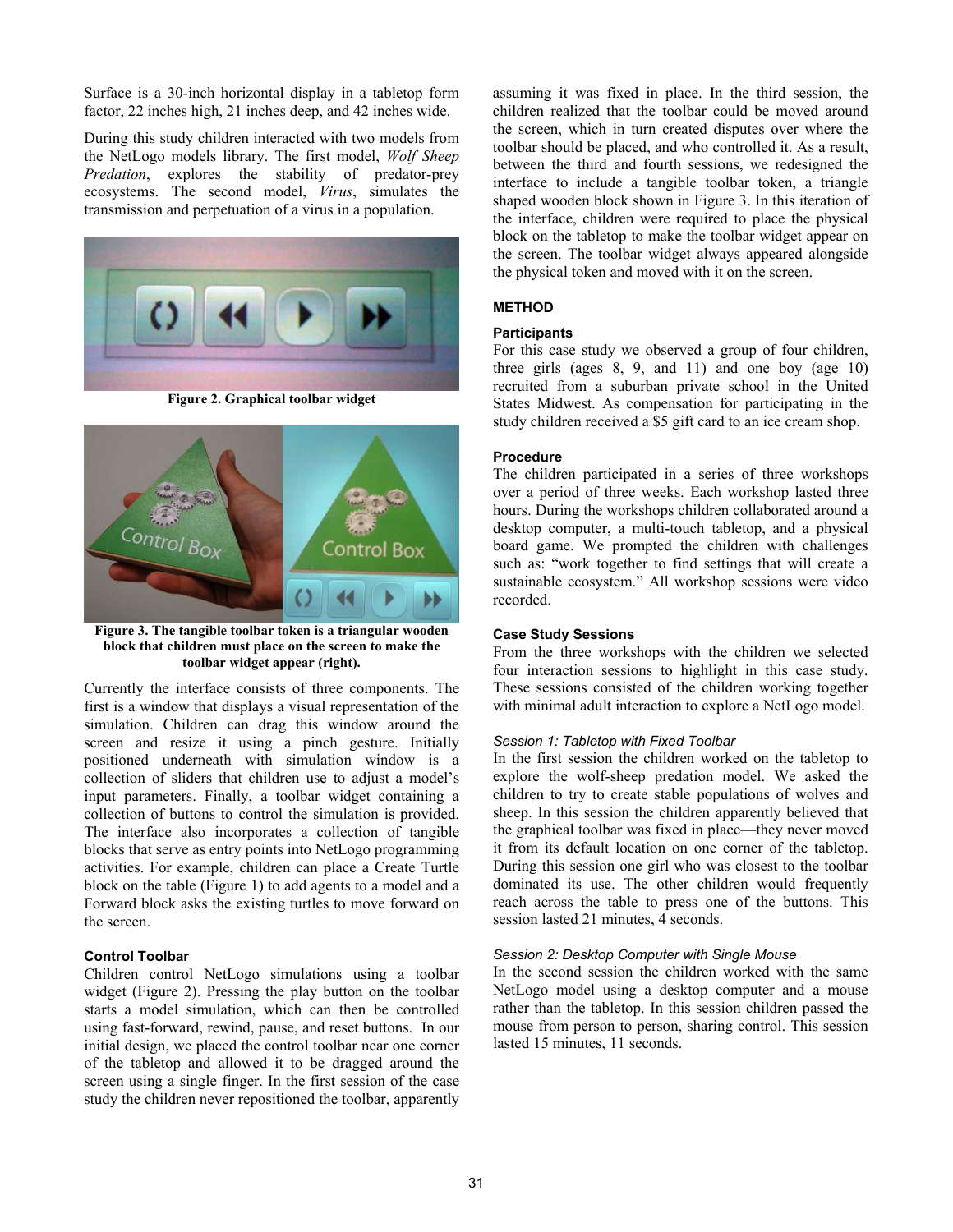Surface is a 30-inch horizontal display in a tabletop form factor, 22 inches high, 21 inches deep, and 42 inches wide.

During this study children interacted with two models from the NetLogo models library. The first model, *Wolf Sheep Predation*, explores the stability of predator-prey ecosystems. The second model, *Virus*, simulates the transmission and perpetuation of a virus in a population.



**Figure 2. Graphical toolbar widget** 



**Figure 3. The tangible toolbar token is a triangular wooden block that children must place on the screen to make the toolbar widget appear (right).** 

Currently the interface consists of three components. The first is a window that displays a visual representation of the simulation. Children can drag this window around the screen and resize it using a pinch gesture. Initially positioned underneath with simulation window is a collection of sliders that children use to adjust a model's input parameters. Finally, a toolbar widget containing a collection of buttons to control the simulation is provided. The interface also incorporates a collection of tangible blocks that serve as entry points into NetLogo programming activities. For example, children can place a Create Turtle block on the table (Figure 1) to add agents to a model and a Forward block asks the existing turtles to move forward on the screen.

## **Control Toolbar**

Children control NetLogo simulations using a toolbar widget (Figure 2). Pressing the play button on the toolbar starts a model simulation, which can then be controlled using fast-forward, rewind, pause, and reset buttons. In our initial design, we placed the control toolbar near one corner of the tabletop and allowed it to be dragged around the screen using a single finger. In the first session of the case study the children never repositioned the toolbar, apparently assuming it was fixed in place. In the third session, the children realized that the toolbar could be moved around the screen, which in turn created disputes over where the toolbar should be placed, and who controlled it. As a result, between the third and fourth sessions, we redesigned the interface to include a tangible toolbar token, a triangle shaped wooden block shown in Figure 3. In this iteration of the interface, children were required to place the physical block on the tabletop to make the toolbar widget appear on the screen. The toolbar widget always appeared alongside the physical token and moved with it on the screen.

# **METHOD**

#### **Participants**

For this case study we observed a group of four children, three girls (ages  $8, 9,$  and  $11$ ) and one boy (age  $10$ ) recruited from a suburban private school in the United States Midwest. As compensation for participating in the study children received a \$5 gift card to an ice cream shop.

#### **Procedure**

The children participated in a series of three workshops over a period of three weeks. Each workshop lasted three hours. During the workshops children collaborated around a desktop computer, a multi-touch tabletop, and a physical board game. We prompted the children with challenges such as: "work together to find settings that will create a sustainable ecosystem." All workshop sessions were video recorded.

# **Case Study Sessions**

From the three workshops with the children we selected four interaction sessions to highlight in this case study. These sessions consisted of the children working together with minimal adult interaction to explore a NetLogo model.

## *Session 1: Tabletop with Fixed Toolbar*

In the first session the children worked on the tabletop to explore the wolf-sheep predation model. We asked the children to try to create stable populations of wolves and sheep. In this session the children apparently believed that the graphical toolbar was fixed in place—they never moved it from its default location on one corner of the tabletop. During this session one girl who was closest to the toolbar dominated its use. The other children would frequently reach across the table to press one of the buttons. This session lasted 21 minutes, 4 seconds.

#### *Session 2: Desktop Computer with Single Mouse*

In the second session the children worked with the same NetLogo model using a desktop computer and a mouse rather than the tabletop. In this session children passed the mouse from person to person, sharing control. This session lasted 15 minutes, 11 seconds.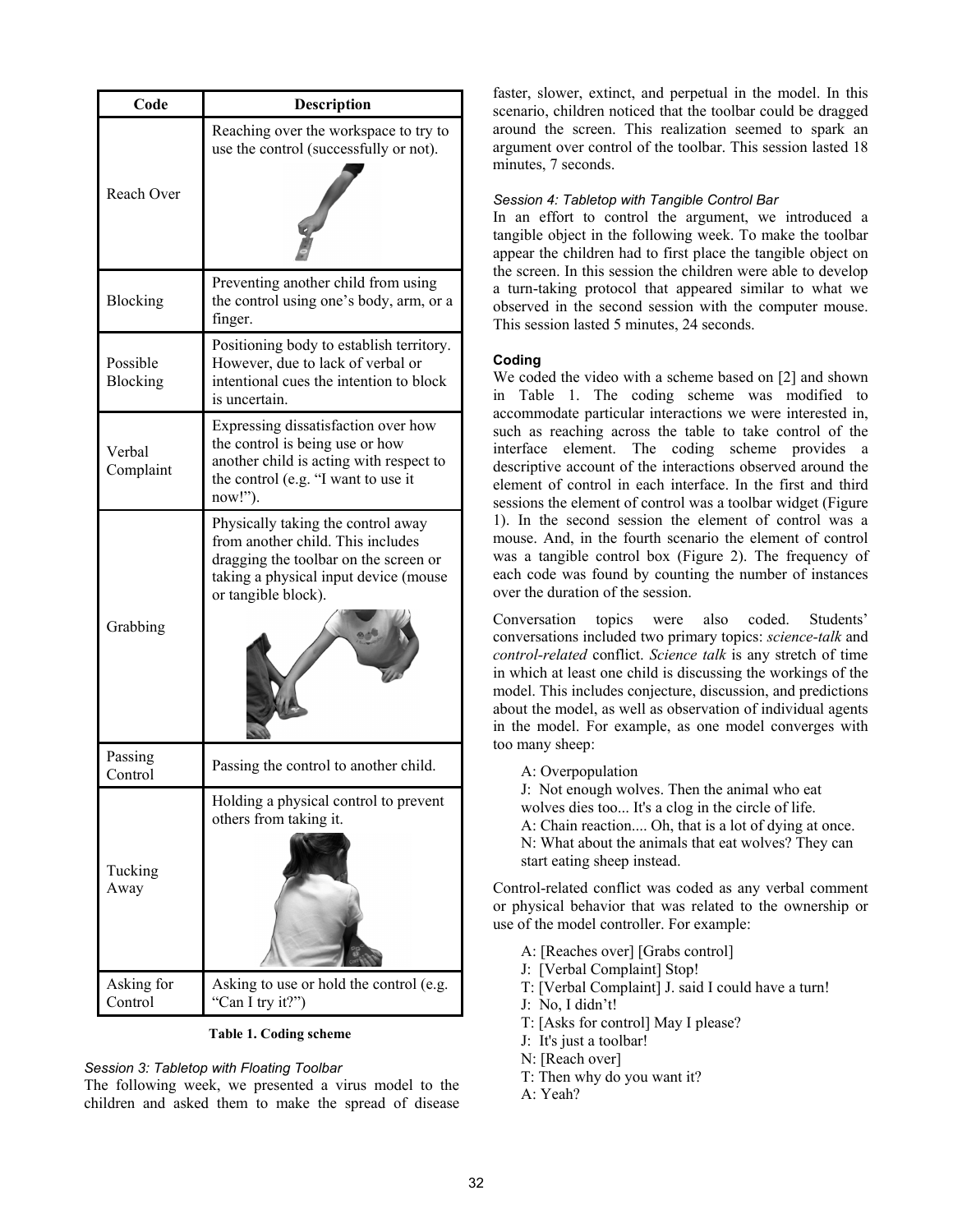| Code                  | <b>Description</b>                                                                                                                                                               |  |  |
|-----------------------|----------------------------------------------------------------------------------------------------------------------------------------------------------------------------------|--|--|
| Reach Over            | Reaching over the workspace to try to<br>use the control (successfully or not).                                                                                                  |  |  |
| Blocking              | Preventing another child from using<br>the control using one's body, arm, or a<br>finger.                                                                                        |  |  |
| Possible<br>Blocking  | Positioning body to establish territory.<br>However, due to lack of verbal or<br>intentional cues the intention to block<br>is uncertain.                                        |  |  |
| Verbal<br>Complaint   | Expressing dissatisfaction over how<br>the control is being use or how<br>another child is acting with respect to<br>the control (e.g. "I want to use it<br>now!").              |  |  |
| Grabbing              | Physically taking the control away<br>from another child. This includes<br>dragging the toolbar on the screen or<br>taking a physical input device (mouse<br>or tangible block). |  |  |
| Passing<br>Control    | Passing the control to another child.                                                                                                                                            |  |  |
| Tucking<br>Away       | Holding a physical control to prevent<br>others from taking it.                                                                                                                  |  |  |
| Asking for<br>Control | Asking to use or hold the control (e.g.<br>"Can I try it?")                                                                                                                      |  |  |

**Table 1. Coding scheme** 

# *Session 3: Tabletop with Floating Toolbar*

The following week, we presented a virus model to the children and asked them to make the spread of disease faster, slower, extinct, and perpetual in the model. In this scenario, children noticed that the toolbar could be dragged around the screen. This realization seemed to spark an argument over control of the toolbar. This session lasted 18 minutes, 7 seconds.

# *Session 4: Tabletop with Tangible Control Bar*

In an effort to control the argument, we introduced a tangible object in the following week. To make the toolbar appear the children had to first place the tangible object on the screen. In this session the children were able to develop a turn-taking protocol that appeared similar to what we observed in the second session with the computer mouse. This session lasted 5 minutes, 24 seconds.

## **Coding**

We coded the video with a scheme based on [2] and shown in Table 1. The coding scheme was modified to accommodate particular interactions we were interested in, such as reaching across the table to take control of the interface element. The coding scheme provides a descriptive account of the interactions observed around the element of control in each interface. In the first and third sessions the element of control was a toolbar widget (Figure 1). In the second session the element of control was a mouse. And, in the fourth scenario the element of control was a tangible control box (Figure 2). The frequency of each code was found by counting the number of instances over the duration of the session.

Conversation topics were also coded. Students' conversations included two primary topics: *science-talk* and *control-related* conflict. *Science talk* is any stretch of time in which at least one child is discussing the workings of the model. This includes conjecture, discussion, and predictions about the model, as well as observation of individual agents in the model. For example, as one model converges with too many sheep:

A: Overpopulation

J: Not enough wolves. Then the animal who eat wolves dies too... It's a clog in the circle of life. A: Chain reaction.... Oh, that is a lot of dying at once. N: What about the animals that eat wolves? They can start eating sheep instead.

Control-related conflict was coded as any verbal comment or physical behavior that was related to the ownership or use of the model controller. For example:

- A: [Reaches over] [Grabs control]
- J: [Verbal Complaint] Stop!
- T: [Verbal Complaint] J. said I could have a turn!
- $J: No. I didn't!$
- T: [Asks for control] May I please?
- J: It's just a toolbar!
- N: [Reach over]
- T: Then why do you want it?
- A: Yeah?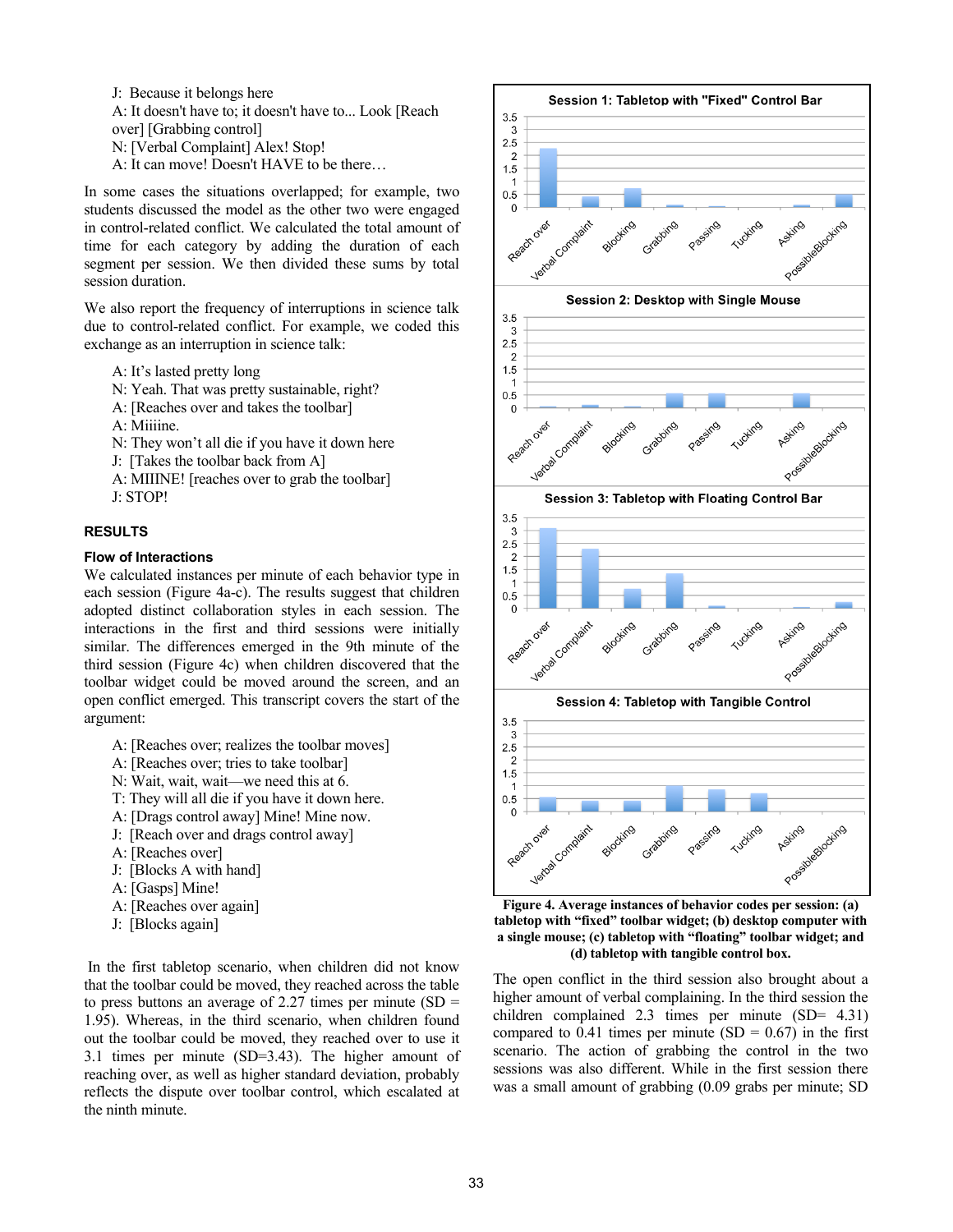J: Because it belongs here A: It doesn't have to; it doesn't have to... Look [Reach over] [Grabbing control] N: [Verbal Complaint] Alex! Stop! A: It can move! Doesn't HAVE to be there...

In some cases the situations overlapped; for example, two students discussed the model as the other two were engaged in control-related conflict. We calculated the total amount of time for each category by adding the duration of each segment per session. We then divided these sums by total session duration.

We also report the frequency of interruptions in science talk due to control-related conflict. For example, we coded this exchange as an interruption in science talk:

- A: It's lasted pretty long
- N: Yeah. That was pretty sustainable, right?
- A: [Reaches over and takes the toolbar]
- A: Miiiine.
- N: They won't all die if you have it down here
- J: [Takes the toolbar back from A]
- A: MIIINE! [reaches over to grab the toolbar] J: STOP!

# **RESULTS**

## **Flow of Interactions**

We calculated instances per minute of each behavior type in each session (Figure 4a-c). The results suggest that children adopted distinct collaboration styles in each session. The interactions in the first and third sessions were initially similar. The differences emerged in the 9th minute of the third session (Figure 4c) when children discovered that the toolbar widget could be moved around the screen, and an open conflict emerged. This transcript covers the start of the argument:

- A: [Reaches over; realizes the toolbar moves]
- A: [Reaches over; tries to take toolbar]
- N: Wait, wait, wait—we need this at 6.
- T: They will all die if you have it down here.
- A: [Drags control away] Mine! Mine now.
- J: [Reach over and drags control away]
- A: [Reaches over]
- J: [Blocks A with hand]
- A: [Gasps] Mine!
- A: [Reaches over again]
- J: [Blocks again]

 In the first tabletop scenario, when children did not know that the toolbar could be moved, they reached across the table to press buttons an average of 2.27 times per minute  $(SD =$ 1.95). Whereas, in the third scenario, when children found out the toolbar could be moved, they reached over to use it 3.1 times per minute (SD=3.43). The higher amount of reaching over, as well as higher standard deviation, probably reflects the dispute over toolbar control, which escalated at the ninth minute.



**Figure 4. Average instances of behavior codes per session: (a)**  tabletop with "fixed" toolbar widget; (b) desktop computer with a single mouse; (c) tabletop with "floating" toolbar widget; and **(d) tabletop with tangible control box.** 

The open conflict in the third session also brought about a higher amount of verbal complaining. In the third session the children complained 2.3 times per minute (SD= 4.31) compared to 0.41 times per minute  $(SD = 0.67)$  in the first scenario. The action of grabbing the control in the two sessions was also different. While in the first session there was a small amount of grabbing (0.09 grabs per minute; SD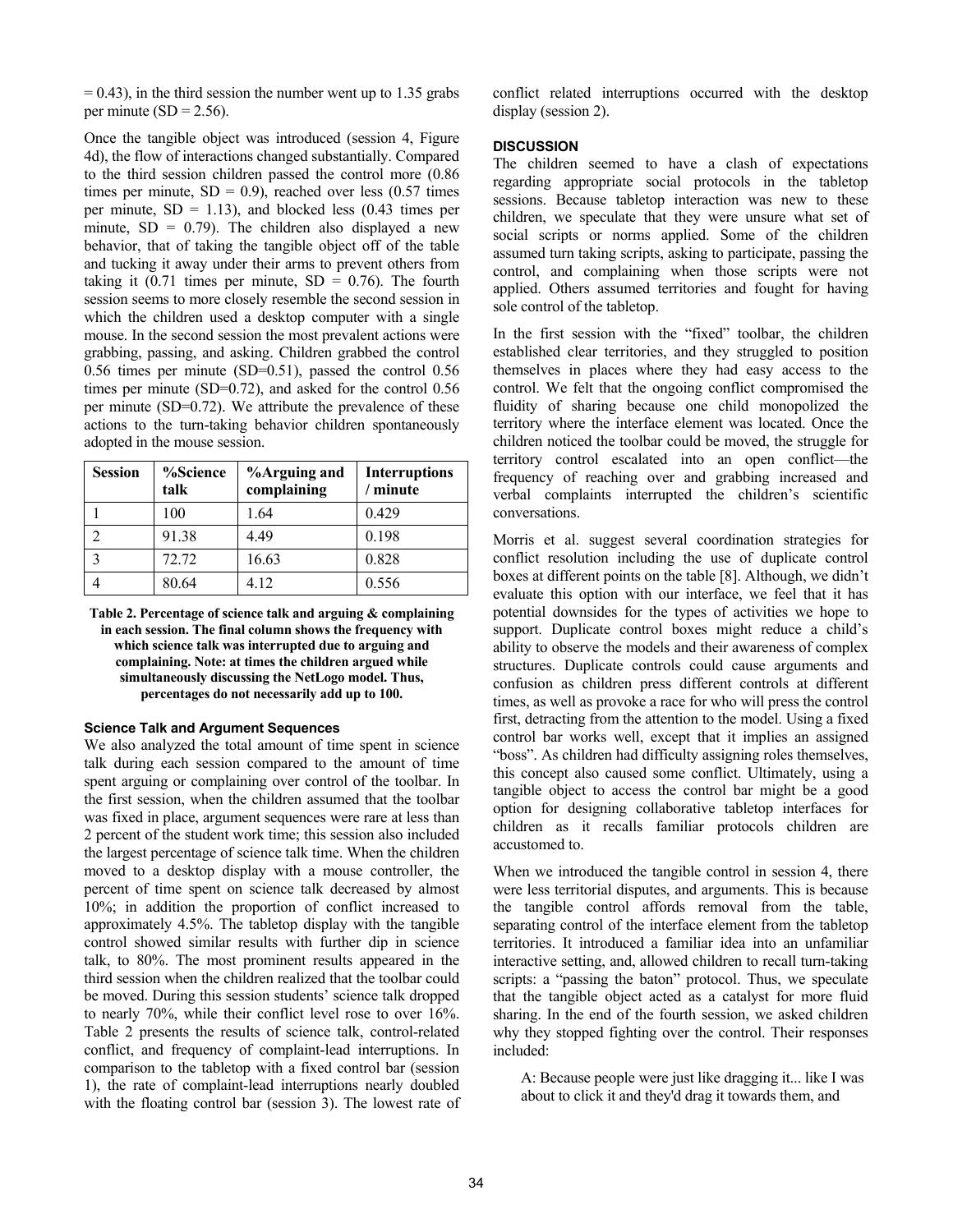$= 0.43$ ), in the third session the number went up to 1.35 grabs per minute  $(SD = 2.56)$ .

Once the tangible object was introduced (session 4, Figure 4d), the flow of interactions changed substantially. Compared to the third session children passed the control more (0.86 times per minute,  $SD = 0.9$ ), reached over less (0.57 times per minute,  $SD = 1.13$ ), and blocked less (0.43 times per minute,  $SD = 0.79$ ). The children also displayed a new behavior, that of taking the tangible object off of the table and tucking it away under their arms to prevent others from taking it  $(0.71)$  times per minute,  $SD = 0.76$ . The fourth session seems to more closely resemble the second session in which the children used a desktop computer with a single mouse. In the second session the most prevalent actions were grabbing, passing, and asking. Children grabbed the control 0.56 times per minute (SD=0.51), passed the control 0.56 times per minute (SD=0.72), and asked for the control 0.56 per minute (SD=0.72). We attribute the prevalence of these actions to the turn-taking behavior children spontaneously adopted in the mouse session.

| <b>Session</b>    | %Science<br>talk | <b>%Arguing and</b><br>complaining | <b>Interruptions</b><br>minute |
|-------------------|------------------|------------------------------------|--------------------------------|
|                   | 100              | 1.64                               | 0.429                          |
|                   | 91.38            | 4.49                               | 0.198                          |
| $\mathbf{\Omega}$ | 72.72            | 16.63                              | 0.828                          |
|                   | 80.64            | 4.12                               | 0.556                          |

**Table 2. Percentage of science talk and arguing & complaining in each session. The final column shows the frequency with which science talk was interrupted due to arguing and complaining. Note: at times the children argued while simultaneously discussing the NetLogo model. Thus, percentages do not necessarily add up to 100.** 

# **Science Talk and Argument Sequences**

We also analyzed the total amount of time spent in science talk during each session compared to the amount of time spent arguing or complaining over control of the toolbar. In the first session, when the children assumed that the toolbar was fixed in place, argument sequences were rare at less than 2 percent of the student work time; this session also included the largest percentage of science talk time. When the children moved to a desktop display with a mouse controller, the percent of time spent on science talk decreased by almost 10%; in addition the proportion of conflict increased to approximately 4.5%. The tabletop display with the tangible control showed similar results with further dip in science talk, to 80%. The most prominent results appeared in the third session when the children realized that the toolbar could be moved. During this session students' science talk dropped to nearly 70%, while their conflict level rose to over 16%. Table 2 presents the results of science talk, control-related conflict, and frequency of complaint-lead interruptions. In comparison to the tabletop with a fixed control bar (session 1), the rate of complaint-lead interruptions nearly doubled with the floating control bar (session 3). The lowest rate of conflict related interruptions occurred with the desktop display (session 2).

# **DISCUSSION**

The children seemed to have a clash of expectations regarding appropriate social protocols in the tabletop sessions. Because tabletop interaction was new to these children, we speculate that they were unsure what set of social scripts or norms applied. Some of the children assumed turn taking scripts, asking to participate, passing the control, and complaining when those scripts were not applied. Others assumed territories and fought for having sole control of the tabletop.

In the first session with the "fixed" toolbar, the children established clear territories, and they struggled to position themselves in places where they had easy access to the control. We felt that the ongoing conflict compromised the fluidity of sharing because one child monopolized the territory where the interface element was located. Once the children noticed the toolbar could be moved, the struggle for territory control escalated into an open conflict—the frequency of reaching over and grabbing increased and verbal complaints interrupted the children's scientific conversations.

Morris et al. suggest several coordination strategies for conflict resolution including the use of duplicate control boxes at different points on the table [8]. Although, we didn't evaluate this option with our interface, we feel that it has potential downsides for the types of activities we hope to support. Duplicate control boxes might reduce a child's ability to observe the models and their awareness of complex structures. Duplicate controls could cause arguments and confusion as children press different controls at different times, as well as provoke a race for who will press the control first, detracting from the attention to the model. Using a fixed control bar works well, except that it implies an assigned "boss". As children had difficulty assigning roles themselves, this concept also caused some conflict. Ultimately, using a tangible object to access the control bar might be a good option for designing collaborative tabletop interfaces for children as it recalls familiar protocols children are accustomed to.

When we introduced the tangible control in session 4, there were less territorial disputes, and arguments. This is because the tangible control affords removal from the table, separating control of the interface element from the tabletop territories. It introduced a familiar idea into an unfamiliar interactive setting, and, allowed children to recall turn-taking scripts: a "passing the baton" protocol. Thus, we speculate that the tangible object acted as a catalyst for more fluid sharing. In the end of the fourth session, we asked children why they stopped fighting over the control. Their responses included:

A: Because people were just like dragging it... like I was about to click it and they'd drag it towards them, and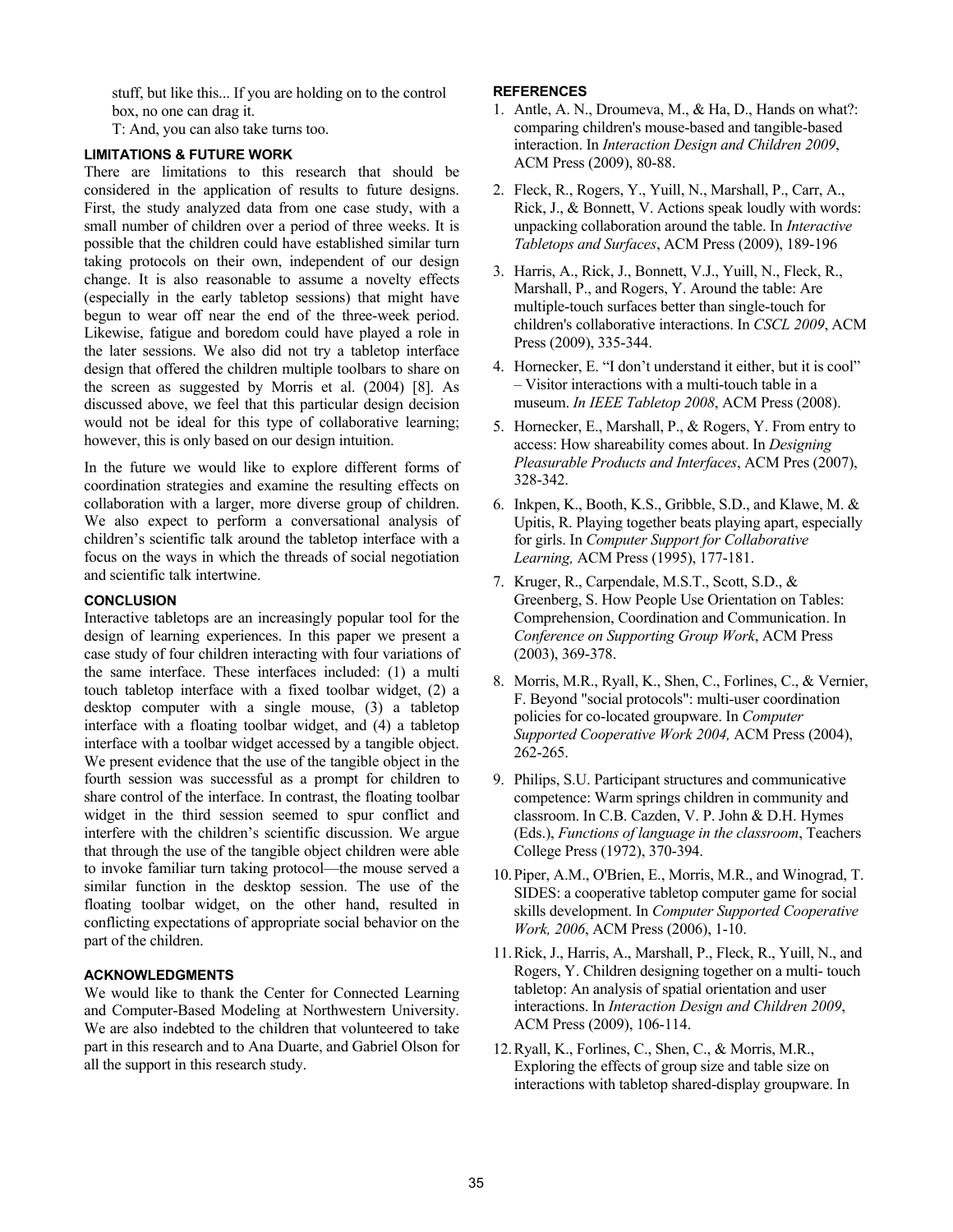stuff, but like this... If you are holding on to the control box, no one can drag it.

T: And, you can also take turns too.

# **LIMITATIONS & FUTURE WORK**

There are limitations to this research that should be considered in the application of results to future designs. First, the study analyzed data from one case study, with a small number of children over a period of three weeks. It is possible that the children could have established similar turn taking protocols on their own, independent of our design change. It is also reasonable to assume a novelty effects (especially in the early tabletop sessions) that might have begun to wear off near the end of the three-week period. Likewise, fatigue and boredom could have played a role in the later sessions. We also did not try a tabletop interface design that offered the children multiple toolbars to share on the screen as suggested by Morris et al. (2004) [8]. As discussed above, we feel that this particular design decision would not be ideal for this type of collaborative learning; however, this is only based on our design intuition.

In the future we would like to explore different forms of coordination strategies and examine the resulting effects on collaboration with a larger, more diverse group of children. We also expect to perform a conversational analysis of children's scientific talk around the tabletop interface with a focus on the ways in which the threads of social negotiation and scientific talk intertwine.

# **CONCLUSION**

Interactive tabletops are an increasingly popular tool for the design of learning experiences. In this paper we present a case study of four children interacting with four variations of the same interface. These interfaces included: (1) a multi touch tabletop interface with a fixed toolbar widget, (2) a desktop computer with a single mouse, (3) a tabletop interface with a floating toolbar widget, and (4) a tabletop interface with a toolbar widget accessed by a tangible object. We present evidence that the use of the tangible object in the fourth session was successful as a prompt for children to share control of the interface. In contrast, the floating toolbar widget in the third session seemed to spur conflict and interfere with the children's scientific discussion. We argue that through the use of the tangible object children were able to invoke familiar turn taking protocol—the mouse served a similar function in the desktop session. The use of the floating toolbar widget, on the other hand, resulted in conflicting expectations of appropriate social behavior on the part of the children.

# **ACKNOWLEDGMENTS**

We would like to thank the Center for Connected Learning and Computer-Based Modeling at Northwestern University. We are also indebted to the children that volunteered to take part in this research and to Ana Duarte, and Gabriel Olson for all the support in this research study.

## **REFERENCES**

- 1. Antle, A. N., Droumeva, M., & Ha, D., Hands on what?: comparing children's mouse-based and tangible-based interaction. In *Interaction Design and Children 2009*, ACM Press (2009), 80-88.
- 2. Fleck, R., Rogers, Y., Yuill, N., Marshall, P., Carr, A., Rick, J., & Bonnett, V. Actions speak loudly with words: unpacking collaboration around the table. In *Interactive Tabletops and Surfaces*, ACM Press (2009), 189-196
- 3. Harris, A., Rick, J., Bonnett, V.J., Yuill, N., Fleck, R., Marshall, P., and Rogers, Y. Around the table: Are multiple-touch surfaces better than single-touch for children's collaborative interactions. In *CSCL 2009*, ACM Press (2009), 335-344.
- 4. Hornecker, E. "I don't understand it either, but it is cool" - Visitor interactions with a multi-touch table in a museum. *In IEEE Tabletop 2008*, ACM Press (2008).
- 5. Hornecker, E., Marshall, P., & Rogers, Y. From entry to access: How shareability comes about. In *Designing Pleasurable Products and Interfaces*, ACM Pres (2007), 328-342.
- 6. Inkpen, K., Booth, K.S., Gribble, S.D., and Klawe, M. & Upitis, R. Playing together beats playing apart, especially for girls. In *Computer Support for Collaborative Learning,* ACM Press (1995), 177-181.
- 7. Kruger, R., Carpendale, M.S.T., Scott, S.D., & Greenberg, S. How People Use Orientation on Tables: Comprehension, Coordination and Communication. In *Conference on Supporting Group Work*, ACM Press (2003), 369-378.
- 8. Morris, M.R., Ryall, K., Shen, C., Forlines, C., & Vernier, F. Beyond "social protocols": multi-user coordination policies for co-located groupware. In *Computer Supported Cooperative Work 2004,* ACM Press (2004), 262-265.
- 9. Philips, S.U. Participant structures and communicative competence: Warm springs children in community and classroom. In C.B. Cazden, V. P. John & D.H. Hymes (Eds.), *Functions of language in the classroom*, Teachers College Press (1972), 370-394.
- 10.Piper, A.M., O'Brien, E., Morris, M.R., and Winograd, T. SIDES: a cooperative tabletop computer game for social skills development. In *Computer Supported Cooperative Work, 2006*, ACM Press (2006), 1-10.
- 11.Rick, J., Harris, A., Marshall, P., Fleck, R., Yuill, N., and Rogers, Y. Children designing together on a multi- touch tabletop: An analysis of spatial orientation and user interactions. In *Interaction Design and Children 2009*, ACM Press (2009), 106-114.
- 12.Ryall, K., Forlines, C., Shen, C., & Morris, M.R., Exploring the effects of group size and table size on interactions with tabletop shared-display groupware. In